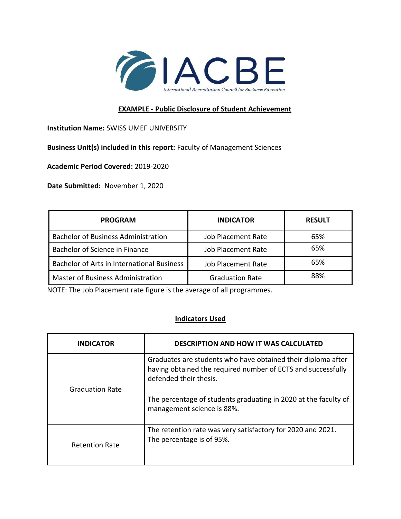

## **EXAMPLE - Public Disclosure of Student Achievement**

**Institution Name:** SWISS UMEF UNIVERSITY

**Business Unit(s) included in this report:** Faculty of Management Sciences

**Academic Period Covered:** 2019-2020

**Date Submitted:** November 1, 2020

| <b>PROGRAM</b>                             | <b>INDICATOR</b>          | <b>RESULT</b> |
|--------------------------------------------|---------------------------|---------------|
| <b>Bachelor of Business Administration</b> | <b>Job Placement Rate</b> | 65%           |
| Bachelor of Science in Finance             | <b>Job Placement Rate</b> | 65%           |
| Bachelor of Arts in International Business | Job Placement Rate        | 65%           |
| <b>Master of Business Administration</b>   | <b>Graduation Rate</b>    | 88%           |

NOTE: The Job Placement rate figure is the average of all programmes.

## **Indicators Used**

| <b>INDICATOR</b>       | <b>DESCRIPTION AND HOW IT WAS CALCULATED</b>                                                                                                           |
|------------------------|--------------------------------------------------------------------------------------------------------------------------------------------------------|
| <b>Graduation Rate</b> | Graduates are students who have obtained their diploma after<br>having obtained the required number of ECTS and successfully<br>defended their thesis. |
|                        | The percentage of students graduating in 2020 at the faculty of<br>management science is 88%.                                                          |
| <b>Retention Rate</b>  | The retention rate was very satisfactory for 2020 and 2021.<br>The percentage is of 95%.                                                               |